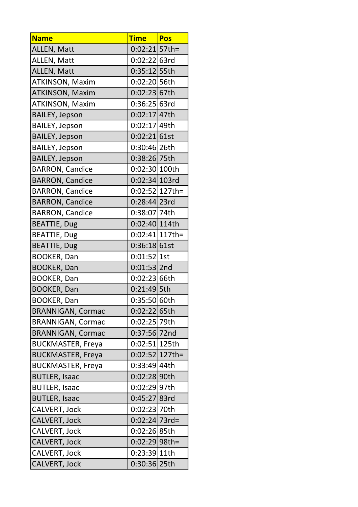| <b>Name</b>              | <b>Time</b>       | <b>Pos</b> |
|--------------------------|-------------------|------------|
| ALLEN, Matt              | $0:02:21 57$ th=  |            |
| ALLEN, Matt              | 0:02:22 63rd      |            |
| ALLEN, Matt              | 0:35:12 55th      |            |
| <b>ATKINSON, Maxim</b>   | 0:02:20 56th      |            |
| <b>ATKINSON, Maxim</b>   | 0:02:23 67th      |            |
| <b>ATKINSON, Maxim</b>   | 0:36:25 63rd      |            |
| <b>BAILEY, Jepson</b>    | 0:02:17 47th      |            |
| <b>BAILEY, Jepson</b>    | 0:02:17 49th      |            |
| <b>BAILEY, Jepson</b>    | $0:02:21 61$ st   |            |
| <b>BAILEY, Jepson</b>    | 0:30:46 26th      |            |
| <b>BAILEY, Jepson</b>    | 0:38:26 75th      |            |
| <b>BARRON, Candice</b>   | 0:02:30 100th     |            |
| <b>BARRON, Candice</b>   | 0:02:34 103rd     |            |
| <b>BARRON, Candice</b>   | $0:02:52 127th=$  |            |
| <b>BARRON, Candice</b>   | 0:28:44 23rd      |            |
| <b>BARRON, Candice</b>   | 0:38:07 74th      |            |
| <b>BEATTIE, Dug</b>      | 0:02:40 114th     |            |
| <b>BEATTIE, Dug</b>      | $0:02:41 117$ th= |            |
| <b>BEATTIE, Dug</b>      | 0:36:18 61st      |            |
| <b>BOOKER, Dan</b>       | $0:01:52$  1st    |            |
| <b>BOOKER, Dan</b>       | $0:01:53$  2nd    |            |
| <b>BOOKER, Dan</b>       | 0:02:23 66th      |            |
| <b>BOOKER, Dan</b>       | 0:21:49 5th       |            |
| <b>BOOKER, Dan</b>       | 0:35:50 60th      |            |
| <b>BRANNIGAN, Cormac</b> | 0:02:22 65th      |            |
| <b>BRANNIGAN, Cormac</b> | 0:02:25 79th      |            |
| <b>BRANNIGAN, Cormac</b> | $0:37:56$ 72nd    |            |
| <b>BUCKMASTER, Freya</b> | $0:02:51 125$ th  |            |
| <b>BUCKMASTER, Freya</b> | $0:02:52 127$ th= |            |
| <b>BUCKMASTER, Freya</b> | 0:33:49 44th      |            |
| <b>BUTLER, Isaac</b>     | 0:02:28 90th      |            |
| <b>BUTLER, Isaac</b>     | 0:02:29 97th      |            |
| <b>BUTLER, Isaac</b>     | 0:45:27 83rd      |            |
| CALVERT, Jock            | 0:02:23 70th      |            |
| CALVERT, Jock            | $0:02:24 73rd=$   |            |
| CALVERT, Jock            | 0:02:26 85th      |            |
| CALVERT, Jock            | $0:02:29 98th=$   |            |
| CALVERT, Jock            | 0:23:39 11th      |            |
| <b>CALVERT, Jock</b>     | 0:30:36 25th      |            |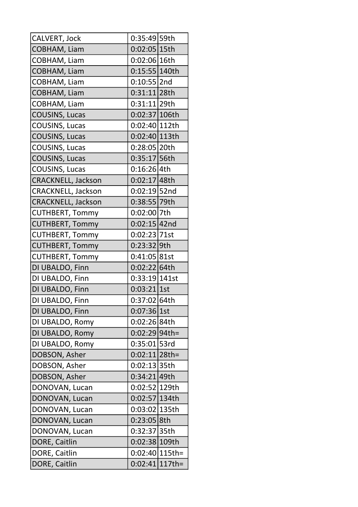| CALVERT, Jock          | 0:35:49 59th      |  |
|------------------------|-------------------|--|
| COBHAM, Liam           | $0:02:05 15$ th   |  |
| COBHAM, Liam           | 0:02:06 16th      |  |
| COBHAM, Liam           | 0:15:55 140th     |  |
| COBHAM, Liam           | $0:10:55$  2nd    |  |
| COBHAM, Liam           | $0:31:11$  28th   |  |
| COBHAM, Liam           | 0:31:11 29th      |  |
| <b>COUSINS, Lucas</b>  | 0:02:37 106th     |  |
| COUSINS, Lucas         | 0:02:40 112th     |  |
| COUSINS, Lucas         | 0:02:40 113th     |  |
| <b>COUSINS, Lucas</b>  | 0:28:05 20th      |  |
| <b>COUSINS, Lucas</b>  | 0:35:17 56th      |  |
| COUSINS, Lucas         | $0:16:26$ 4th     |  |
| CRACKNELL, Jackson     | $0:02:17 48$ th   |  |
| CRACKNELL, Jackson     | $0:02:19$ 52nd    |  |
| CRACKNELL, Jackson     | 0:38:55 79th      |  |
| <b>CUTHBERT, Tommy</b> | 0:02:00 7th       |  |
| <b>CUTHBERT, Tommy</b> | $0:02:15$ 42nd    |  |
| <b>CUTHBERT, Tommy</b> | $0:02:23$ 71st    |  |
| <b>CUTHBERT, Tommy</b> | 0:23:32 9th       |  |
| <b>CUTHBERT, Tommy</b> | 0:41:05 81st      |  |
| DI UBALDO, Finn        | 0:02:22 64th      |  |
| DI UBALDO, Finn        | 0:33:19 141st     |  |
| DI UBALDO, Finn        | $0:03:21$ 1st     |  |
| DI UBALDO, Finn        | 0:37:02 64th      |  |
| DI UBALDO, Finn        | $0:07:36$  1st    |  |
| DI UBALDO, Romy        | 0:02:26 84th      |  |
| DI UBALDO, Romy        | 0:02:29 94th=     |  |
| DI UBALDO, Romy        | 0:35:01 53rd      |  |
| DOBSON, Asher          | $0:02:11 28$ th=  |  |
| DOBSON, Asher          | 0:02:13 35th      |  |
| DOBSON, Asher          | 0:34:21 49th      |  |
| DONOVAN, Lucan         | 0:02:52 129th     |  |
| DONOVAN, Lucan         | 0:02:57 134th     |  |
| DONOVAN, Lucan         | 0:03:02 135th     |  |
| DONOVAN, Lucan         | 0:23:05 8th       |  |
| DONOVAN, Lucan         | 0:32:37 35th      |  |
| DORE, Caitlin          | 0:02:38 109th     |  |
| DORE, Caitlin          | 0:02:40 115th=    |  |
| DORE, Caitlin          | $0:02:41 117$ th= |  |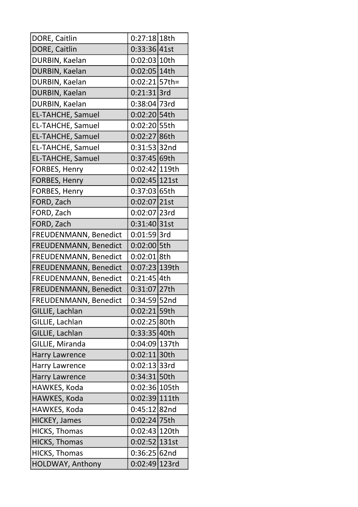| DORE, Caitlin            | 0:27:18 18th     |  |
|--------------------------|------------------|--|
| DORE, Caitlin            | 0:33:36 41st     |  |
| DURBIN, Kaelan           | 0:02:03 10th     |  |
| DURBIN, Kaelan           | 0:02:05 14th     |  |
| DURBIN, Kaelan           | $0:02:21$ 57th=  |  |
| DURBIN, Kaelan           | $0:21:31$ 3rd    |  |
| DURBIN, Kaelan           | 0:38:04 73rd     |  |
| <b>EL-TAHCHE, Samuel</b> | 0:02:20 54th     |  |
| <b>EL-TAHCHE, Samuel</b> | 0:02:20 55th     |  |
| <b>EL-TAHCHE, Samuel</b> | 0:02:27 86th     |  |
| <b>EL-TAHCHE, Samuel</b> | 0:31:53 32nd     |  |
| <b>EL-TAHCHE, Samuel</b> | 0:37:45 69th     |  |
| FORBES, Henry            | 0:02:42 119th    |  |
| <b>FORBES, Henry</b>     | 0:02:45 121st    |  |
| FORBES, Henry            | 0:37:03 65th     |  |
| FORD, Zach               | $0:02:07$  21st  |  |
| FORD, Zach               | $0:02:07$  23rd  |  |
| FORD, Zach               | 0:31:40 31st     |  |
| FREUDENMANN, Benedict    | $0:01:59$ 3rd    |  |
| FREUDENMANN, Benedict    | 0:02:00 5th      |  |
| FREUDENMANN, Benedict    | $0:02:01$ 8th    |  |
| FREUDENMANN, Benedict    | 0:07:23 139th    |  |
| FREUDENMANN, Benedict    | $0:21:45$ 4th    |  |
| FREUDENMANN, Benedict    | 0:31:07 27th     |  |
| FREUDENMANN, Benedict    | 0:34:59 52nd     |  |
| GILLIE, Lachlan          | 0:02:21 59th     |  |
| GILLIE, Lachlan          | 0:02:25 80th     |  |
| GILLIE, Lachlan          | 0:33:35 40th     |  |
| GILLIE, Miranda          | 0:04:09 137th    |  |
| <b>Harry Lawrence</b>    | 0:02:11 30th     |  |
| <b>Harry Lawrence</b>    | 0:02:13 33rd     |  |
| <b>Harry Lawrence</b>    | 0:34:31 50th     |  |
| HAWKES, Koda             | 0:02:36 105th    |  |
| HAWKES, Koda             | 0:02:39 111th    |  |
| HAWKES, Koda             | 0:45:12 82nd     |  |
| <b>HICKEY, James</b>     | 0:02:24 75th     |  |
| <b>HICKS, Thomas</b>     | 0:02:43 120th    |  |
| <b>HICKS, Thomas</b>     | $0:02:52 131$ st |  |
| <b>HICKS, Thomas</b>     | 0:36:25 62nd     |  |
| HOLDWAY, Anthony         | 0:02:49 123rd    |  |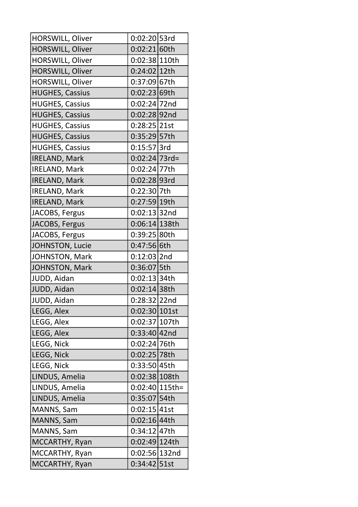| HORSWILL, Oliver       | 0:02:20 53rd     |  |
|------------------------|------------------|--|
| HORSWILL, Oliver       | 0:02:21 60th     |  |
| HORSWILL, Oliver       | 0:02:38 110th    |  |
| HORSWILL, Oliver       | 0:24:02 12th     |  |
| HORSWILL, Oliver       | 0:37:09 67th     |  |
| <b>HUGHES, Cassius</b> | 0:02:23 69th     |  |
| <b>HUGHES, Cassius</b> | 0:02:24 72nd     |  |
| <b>HUGHES, Cassius</b> | 0:02:28 92nd     |  |
| <b>HUGHES, Cassius</b> | $0:28:25$  21st  |  |
| <b>HUGHES, Cassius</b> | 0:35:29 57th     |  |
| <b>HUGHES, Cassius</b> | $0:15:57$ 3rd    |  |
| <b>IRELAND, Mark</b>   | $0:02:24 73rd=$  |  |
| <b>IRELAND, Mark</b>   | 0:02:24 77th     |  |
| <b>IRELAND, Mark</b>   | 0:02:28 93rd     |  |
| <b>IRELAND, Mark</b>   | 0:22:30 7th      |  |
| <b>IRELAND, Mark</b>   | 0:27:59 19th     |  |
| JACOBS, Fergus         | $0:02:13$ 32nd   |  |
| JACOBS, Fergus         | $0:06:14 138$ th |  |
| JACOBS, Fergus         | 0:39:25 80th     |  |
| JOHNSTON, Lucie        | 0:47:56 6th      |  |
| JOHNSTON, Mark         | $0:12:03$  2nd   |  |
| <b>JOHNSTON, Mark</b>  | 0:36:07 5th      |  |
| JUDD, Aidan            | 0:02:13 34th     |  |
| JUDD, Aidan            | $0:02:14 38$ th  |  |
| JUDD, Aidan            | 0:28:32 22nd     |  |
| LEGG, Alex             | 0:02:30 101st    |  |
| LEGG, Alex             | 0:02:37 107th    |  |
| LEGG, Alex             | $0:33:40 42$ nd  |  |
| LEGG, Nick             | 0:02:24 76th     |  |
| LEGG, Nick             | 0:02:25 78th     |  |
| LEGG, Nick             | 0:33:50 45th     |  |
| LINDUS, Amelia         | 0:02:38 108th    |  |
| LINDUS, Amelia         | 0:02:40 115th=   |  |
| LINDUS, Amelia         | 0:35:07 54th     |  |
| MANNS, Sam             | 0:02:15 41st     |  |
| MANNS, Sam             | 0:02:16 44th     |  |
| MANNS, Sam             | 0:34:12   47th   |  |
| MCCARTHY, Ryan         | 0:02:49 124th    |  |
| MCCARTHY, Ryan         | 0:02:56 132nd    |  |
| MCCARTHY, Ryan         | 0:34:42 51st     |  |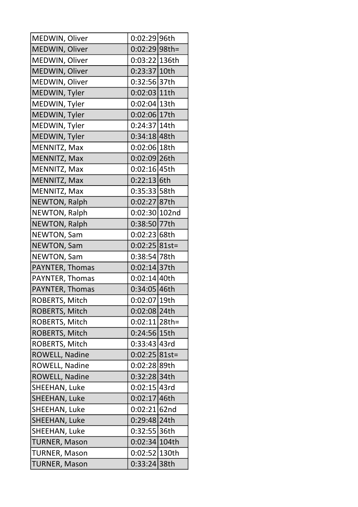| MEDWIN, Oliver        | 0:02:29 96th     |  |
|-----------------------|------------------|--|
| MEDWIN, Oliver        | $0:02:29 98$ th= |  |
| MEDWIN, Oliver        | 0:03:22 136th    |  |
| MEDWIN, Oliver        | 0:23:37 10th     |  |
| MEDWIN, Oliver        | 0:32:56 37th     |  |
| MEDWIN, Tyler         | 0:02:03 11th     |  |
| MEDWIN, Tyler         | 0:02:04 13th     |  |
| MEDWIN, Tyler         | 0:02:06 17th     |  |
| MEDWIN, Tyler         | 0:24:37 14th     |  |
| MEDWIN, Tyler         | 0:34:18 48th     |  |
| MENNITZ, Max          | 0:02:06 18th     |  |
| <b>MENNITZ, Max</b>   | 0:02:09 26th     |  |
| MENNITZ, Max          | 0:02:16 45th     |  |
| MENNITZ, Max          | 0:22:13 6th      |  |
| MENNITZ, Max          | 0:35:33 58th     |  |
| <b>NEWTON, Ralph</b>  | 0:02:27 87th     |  |
| <b>NEWTON, Ralph</b>  | $0:02:30 102$ nd |  |
| <b>NEWTON, Ralph</b>  | 0:38:50 77th     |  |
| <b>NEWTON, Sam</b>    | 0:02:23 68th     |  |
| <b>NEWTON, Sam</b>    | $0:02:25 81st=$  |  |
| NEWTON, Sam           | 0:38:54 78th     |  |
| PAYNTER, Thomas       | 0:02:14 37th     |  |
| PAYNTER, Thomas       | 0:02:14 40th     |  |
| PAYNTER, Thomas       | 0:34:05 46th     |  |
| ROBERTS, Mitch        | 0:02:07 19th     |  |
| ROBERTS, Mitch        | 0:02:08 24th     |  |
| ROBERTS, Mitch        | $0:02:11 28$ th= |  |
| ROBERTS, Mitch        | 0:24:56 15th     |  |
| ROBERTS, Mitch        | 0:33:43 43rd     |  |
| ROWELL, Nadine        | $0:02:25 81$ st= |  |
| <b>ROWELL, Nadine</b> | 0:02:28 89th     |  |
| <b>ROWELL, Nadine</b> | 0:32:28 34th     |  |
| SHEEHAN, Luke         | 0:02:15 43rd     |  |
| SHEEHAN, Luke         | 0:02:17 46th     |  |
| SHEEHAN, Luke         | 0:02:21 62nd     |  |
| SHEEHAN, Luke         | 0:29:48 24th     |  |
| SHEEHAN, Luke         | 0:32:55 36th     |  |
| <b>TURNER, Mason</b>  | 0:02:34 104th    |  |
| <b>TURNER, Mason</b>  | 0:02:52 130th    |  |
| <b>TURNER, Mason</b>  | 0:33:24 38th     |  |